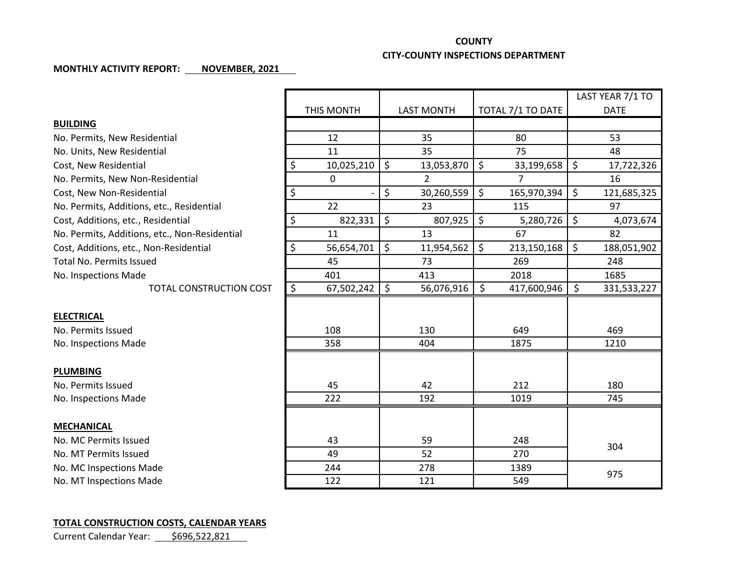## **COUNTY**

## **CITY-COUNTY INSPECTIONS DEPARTMENT**

## **MONTHLY ACTIVITY REPORT: NOVEMBER, 2021**

|                                               |                  |                   |                             | LAST YEAR 7/1 TO  |
|-----------------------------------------------|------------------|-------------------|-----------------------------|-------------------|
|                                               | THIS MONTH       | <b>LAST MONTH</b> | TOTAL 7/1 TO DATE           | <b>DATE</b>       |
| <b>BUILDING</b>                               |                  |                   |                             |                   |
| No. Permits, New Residential                  | 12               | 35                | 80                          | 53                |
| No. Units, New Residential                    | 11               | 35                | 75                          | 48                |
| Cost, New Residential                         | \$<br>10,025,210 | \$<br>13,053,870  | $\zeta$<br>33,199,658       | \$<br>17,722,326  |
| No. Permits, New Non-Residential              | $\Omega$         | $\overline{2}$    | $\overline{7}$              | 16                |
| Cost, New Non-Residential                     | \$               | \$<br>30,260,559  | $\zeta$<br>165,970,394      | \$<br>121,685,325 |
| No. Permits, Additions, etc., Residential     | 22               | 23                | 115                         | 97                |
| Cost, Additions, etc., Residential            | \$<br>822,331    | \$<br>807,925     | $\zeta$<br>5,280,726        | \$<br>4,073,674   |
| No. Permits, Additions, etc., Non-Residential | 11               | 13                | 67                          | 82                |
| Cost, Additions, etc., Non-Residential        | \$<br>56,654,701 | \$<br>11,954,562  | $\mathsf{S}$<br>213,150,168 | \$<br>188,051,902 |
| <b>Total No. Permits Issued</b>               | 45               | 73                | 269                         | 248               |
| No. Inspections Made                          | 401              | 413               | 2018                        | 1685              |
| <b>TOTAL CONSTRUCTION COST</b>                | \$<br>67,502,242 | \$<br>56,076,916  | \$<br>417,600,946           | \$<br>331,533,227 |
|                                               |                  |                   |                             |                   |
| <b>ELECTRICAL</b>                             |                  |                   |                             |                   |
| No. Permits Issued                            | 108              | 130               | 649                         | 469               |
| No. Inspections Made                          | 358              | 404               | 1875                        | 1210              |
|                                               |                  |                   |                             |                   |
| <b>PLUMBING</b>                               |                  |                   |                             |                   |
| No. Permits Issued                            | 45               | 42                | 212                         | 180               |
| No. Inspections Made                          | 222              | 192               | 1019                        | 745               |
|                                               |                  |                   |                             |                   |
| <b>MECHANICAL</b>                             |                  |                   |                             |                   |
| No. MC Permits Issued                         | 43               | 59                | 248                         | 304               |
| No. MT Permits Issued                         | 49               | 52                | 270                         |                   |
| No. MC Inspections Made                       | 244              | 278               | 1389                        | 975               |
| No. MT Inspections Made                       | 122              | 121               | 549                         |                   |

## **TOTAL CONSTRUCTION COSTS, CALENDAR YEARS**

Current Calendar Year: \$696,522,821